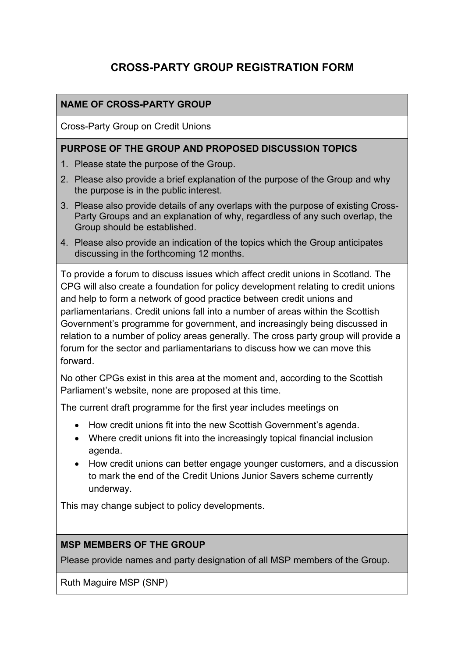# **CROSS-PARTY GROUP REGISTRATION FORM**

### **NAME OF CROSS-PARTY GROUP**

Cross-Party Group on Credit Unions

#### **PURPOSE OF THE GROUP AND PROPOSED DISCUSSION TOPICS**

- 1. Please state the purpose of the Group.
- 2. Please also provide a brief explanation of the purpose of the Group and why the purpose is in the public interest.
- 3. Please also provide details of any overlaps with the purpose of existing Cross-Party Groups and an explanation of why, regardless of any such overlap, the Group should be established.
- 4. Please also provide an indication of the topics which the Group anticipates discussing in the forthcoming 12 months.

To provide a forum to discuss issues which affect credit unions in Scotland. The CPG will also create a foundation for policy development relating to credit unions and help to form a network of good practice between credit unions and parliamentarians. Credit unions fall into a number of areas within the Scottish Government's programme for government, and increasingly being discussed in relation to a number of policy areas generally. The cross party group will provide a forum for the sector and parliamentarians to discuss how we can move this forward.

No other CPGs exist in this area at the moment and, according to the Scottish Parliament's website, none are proposed at this time.

The current draft programme for the first year includes meetings on

- How credit unions fit into the new Scottish Government's agenda.
- Where credit unions fit into the increasingly topical financial inclusion agenda.
- How credit unions can better engage younger customers, and a discussion to mark the end of the Credit Unions Junior Savers scheme currently underway.

This may change subject to policy developments.

#### **MSP MEMBERS OF THE GROUP**

Please provide names and party designation of all MSP members of the Group.

Ruth Maguire MSP (SNP)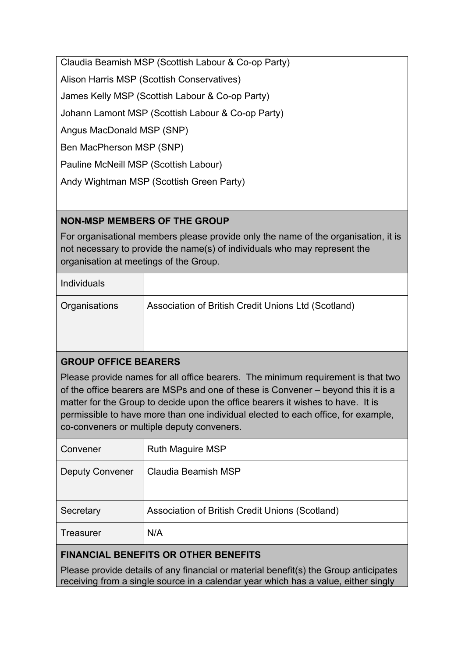Claudia Beamish MSP (Scottish Labour & Co-op Party)

Alison Harris MSP (Scottish Conservatives)

James Kelly MSP (Scottish Labour & Co-op Party)

Johann Lamont MSP (Scottish Labour & Co-op Party)

Angus MacDonald MSP (SNP)

Ben MacPherson MSP (SNP)

Pauline McNeill MSP (Scottish Labour)

Andy Wightman MSP (Scottish Green Party)

## **NON-MSP MEMBERS OF THE GROUP**

For organisational members please provide only the name of the organisation, it is not necessary to provide the name(s) of individuals who may represent the organisation at meetings of the Group.

| <b>Individuals</b> |                                                     |  |
|--------------------|-----------------------------------------------------|--|
| Organisations      | Association of British Credit Unions Ltd (Scotland) |  |
|                    |                                                     |  |

### **GROUP OFFICE BEARERS**

Please provide names for all office bearers. The minimum requirement is that two of the office bearers are MSPs and one of these is Convener – beyond this it is a matter for the Group to decide upon the office bearers it wishes to have. It is permissible to have more than one individual elected to each office, for example, co-conveners or multiple deputy conveners.

| Convener               | <b>Ruth Maguire MSP</b>                         |
|------------------------|-------------------------------------------------|
| <b>Deputy Convener</b> | Claudia Beamish MSP                             |
| Secretary              | Association of British Credit Unions (Scotland) |
| Treasurer              | N/A                                             |
|                        |                                                 |

# **FINANCIAL BENEFITS OR OTHER BENEFITS**

Please provide details of any financial or material benefit(s) the Group anticipates receiving from a single source in a calendar year which has a value, either singly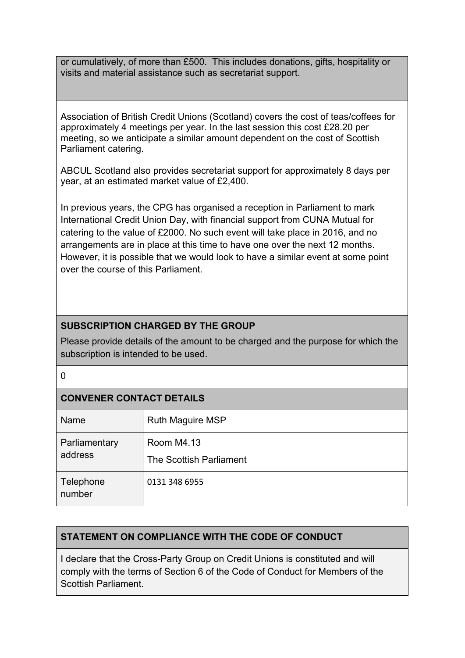or cumulatively, of more than £500. This includes donations, gifts, hospitality or visits and material assistance such as secretariat support.

Association of British Credit Unions (Scotland) covers the cost of teas/coffees for approximately 4 meetings per year. In the last session this cost £28.20 per meeting, so we anticipate a similar amount dependent on the cost of Scottish Parliament catering.

ABCUL Scotland also provides secretariat support for approximately 8 days per year, at an estimated market value of £2,400.

In previous years, the CPG has organised a reception in Parliament to mark International Credit Union Day, with financial support from CUNA Mutual for catering to the value of £2000. No such event will take place in 2016, and no arrangements are in place at this time to have one over the next 12 months. However, it is possible that we would look to have a similar event at some point over the course of this Parliament.

## **SUBSCRIPTION CHARGED BY THE GROUP**

Please provide details of the amount to be charged and the purpose for which the subscription is intended to be used.

#### $\Omega$

# **CONVENER CONTACT DETAILS**

| Name                     | <b>Ruth Maguire MSP</b>               |
|--------------------------|---------------------------------------|
| Parliamentary<br>address | Room M4.13<br>The Scottish Parliament |
| Telephone<br>number      | 0131 348 6955                         |

### **STATEMENT ON COMPLIANCE WITH THE CODE OF CONDUCT**

I declare that the Cross-Party Group on Credit Unions is constituted and will comply with the terms of Section 6 of the Code of Conduct for Members of the Scottish Parliament.